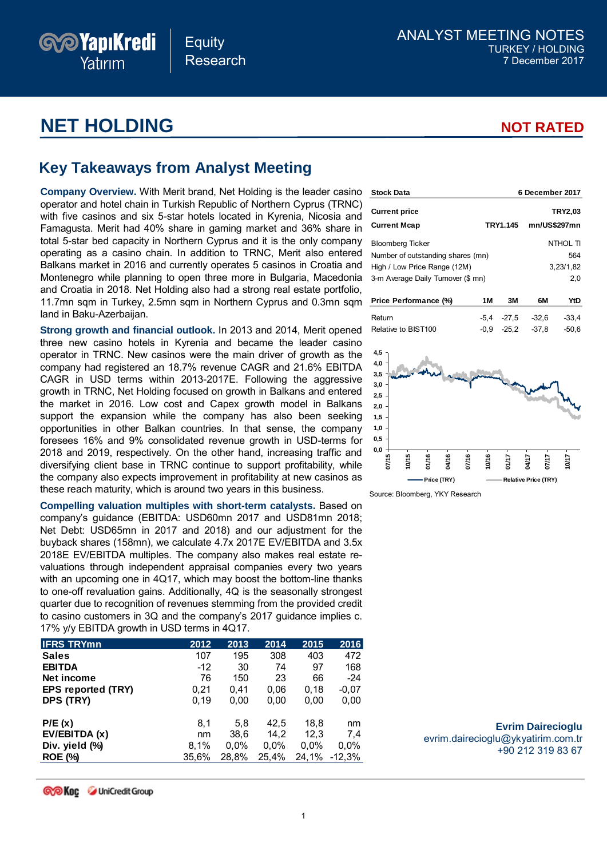## **Equity** Research

ANALYST MEETING NOTES TURKEY / HOLDING 7 December 2017

# **NET HOLDING NOT RATED**

*PYapıKredi* 

Yatırım

**6 December 2017**

# **Key Takeaways from Analyst Meeting**

**Company Overview.** With Merit brand, Net Holding is the leader casino **Stock Data** operator and hotel chain in Turkish Republic of Northern Cyprus (TRNC) with five casinos and six 5-star hotels located in Kyrenia, Nicosia and Famagusta. Merit had 40% share in gaming market and 36% share in total 5-star bed capacity in Northern Cyprus and it is the only company operating as a casino chain. In addition to TRNC, Merit also entered Balkans market in 2016 and currently operates 5 casinos in Croatia and Montenegro while planning to open three more in Bulgaria, Macedonia and Croatia in 2018. Net Holding also had a strong real estate portfolio, 11.7mn sqm in Turkey, 2.5mn sqm in Northern Cyprus and 0.3mn sqm land in Baku-Azerbaijan.

**Strong growth and financial outlook.** In 2013 and 2014, Merit opened three new casino hotels in Kyrenia and became the leader casino operator in TRNC. New casinos were the main driver of growth as the company had registered an 18.7% revenue CAGR and 21.6% EBITDA CAGR in USD terms within 2013-2017E. Following the aggressive growth in TRNC, Net Holding focused on growth in Balkans and entered the market in 2016. Low cost and Capex growth model in Balkans support the expansion while the company has also been seeking opportunities in other Balkan countries. In that sense, the company foresees 16% and 9% consolidated revenue growth in USD-terms for 2018 and 2019, respectively. On the other hand, increasing traffic and diversifying client base in TRNC continue to support profitability, while the company also expects improvement in profitability at new casinos as these reach maturity, which is around two years in this business.

**Compelling valuation multiples with short-term catalysts.** Based on company's guidance (EBITDA: USD60mn 2017 and USD81mn 2018; Net Debt: USD65mn in 2017 and 2018) and our adjustment for the buyback shares (158mn), we calculate 4.7x 2017E EV/EBITDA and 3.5x 2018E EV/EBITDA multiples. The company also makes real estate revaluations through independent appraisal companies every two years with an upcoming one in 4Q17, which may boost the bottom-line thanks to one-off revaluation gains. Additionally, 4Q is the seasonally strongest quarter due to recognition of revenues stemming from the provided credit to casino customers in 3Q and the company's 2017 guidance implies c. 17% y/y EBITDA growth in USD terms in 4Q17.

| <b>IFRS TRYmn</b>         | 2012  | 2013  | 2014  | 2015  | 2016    |
|---------------------------|-------|-------|-------|-------|---------|
| <b>Sales</b>              | 107   | 195   | 308   | 403   | 472     |
| <b>EBITDA</b>             | $-12$ | 30    | 74    | 97    | 168     |
| Net income                | 76    | 150   | 23    | 66    | $-24$   |
| <b>EPS reported (TRY)</b> | 0,21  | 0.41  | 0,06  | 0,18  | $-0,07$ |
| DPS (TRY)                 | 0.19  | 0,00  | 0,00  | 0,00  | 0,00    |
| P/E(x)                    | 8,1   | 5.8   | 42,5  | 18.8  | nm      |
| EV/EBITDA (x)             | nm    | 38,6  | 14.2  | 12,3  | 7.4     |
| Div. yield (%)            | 8,1%  | 0,0%  | 0.0%  | 0.0%  | 0,0%    |
| <b>ROE (%)</b>            | 35,6% | 28,8% | 25,4% | 24,1% | -12,3%  |

| <b>Current price</b><br><b>Current Mcap</b>                                |        | TRY1.145     | mn/US\$297mn                | <b>TRY2,03</b>  |
|----------------------------------------------------------------------------|--------|--------------|-----------------------------|-----------------|
| <b>Bloomberg Ticker</b>                                                    |        |              |                             | <b>NTHOL TI</b> |
| Number of outstanding shares (mn)                                          |        |              |                             | 564             |
| High / Low Price Range (12M)                                               |        |              |                             | 3,23/1,82       |
| 3-m Average Daily Turnover (\$ mn)                                         |        |              |                             | 2,0             |
| Price Performance (%)                                                      | 1M     | 3M           | 6M                          | YtD             |
| Return                                                                     | $-5,4$ | $-27.5$      | $-32,6$                     | $-33,4$         |
| Relative to BIST100                                                        | $-0,9$ | $-25,2$      | $-37,8$                     | $-50,6$         |
| 4,5<br>4,0<br>3,5<br>3,0<br>2,5<br>2,0<br>1,5<br>1,0<br>0,5<br>0,0<br>1/16 |        |              |                             |                 |
| 07/15<br><b>D4/16</b><br><b>IO/15</b><br>07/16                             | 10/16  | <b>ZI-TK</b> | 21.MC<br>717TC              | <b>LIA</b>      |
| Price (TRY)                                                                |        |              | <b>Relative Price (TRY)</b> |                 |

Source: Bloomberg, YKY Research

#### **Evrim Dairecioglu** evrim.dairecioglu@ykyatirim.com.tr +90 212 319 83 67

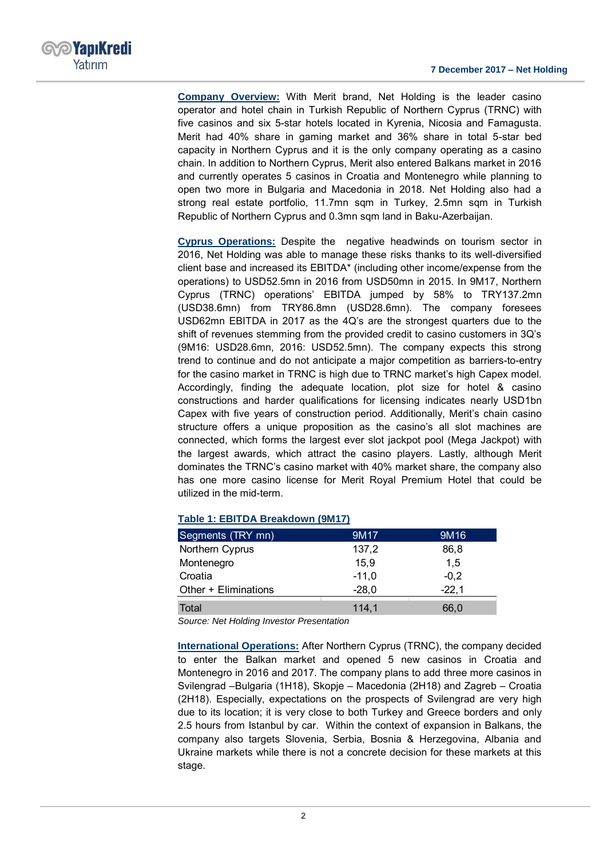

**Company Overview:** With Merit brand, Net Holding is the leader casino operator and hotel chain in Turkish Republic of Northern Cyprus (TRNC) with five casinos and six 5-star hotels located in Kyrenia, Nicosia and Famagusta. Merit had 40% share in gaming market and 36% share in total 5-star bed capacity in Northern Cyprus and it is the only company operating as a casino chain. In addition to Northern Cyprus, Merit also entered Balkans market in 2016 and currently operates 5 casinos in Croatia and Montenegro while planning to open two more in Bulgaria and Macedonia in 2018. Net Holding also had a strong real estate portfolio, 11.7mn sqm in Turkey, 2.5mn sqm in Turkish Republic of Northern Cyprus and 0.3mn sqm land in Baku-Azerbaijan.

**Cyprus Operations:** Despite the negative headwinds on tourism sector in 2016, Net Holding was able to manage these risks thanks to its well-diversified client base and increased its EBITDA\* (including other income/expense from the operations) to USD52.5mn in 2016 from USD50mn in 2015. In 9M17, Northern Cyprus (TRNC) operations' EBITDA jumped by 58% to TRY137.2mn (USD38.6mn) from TRY86.8mn (USD28.6mn). The company foresees USD62mn EBITDA in 2017 as the 4Q's are the strongest quarters due to the shift of revenues stemming from the provided credit to casino customers in 3Q's (9M16: USD28.6mn, 2016: USD52.5mn). The company expects this strong trend to continue and do not anticipate a major competition as barriers-to-entry for the casino market in TRNC is high due to TRNC market's high Capex model. Accordingly, finding the adequate location, plot size for hotel & casino constructions and harder qualifications for licensing indicates nearly USD1bn Capex with five years of construction period. Additionally, Merit's chain casino structure offers a unique proposition as the casino's all slot machines are connected, which forms the largest ever slot jackpot pool (Mega Jackpot) with the largest awards, which attract the casino players. Lastly, although Merit dominates the TRNC's casino market with 40% market share, the company also has one more casino license for Merit Royal Premium Hotel that could be utilized in the mid-term.

| Segments (TRY mn)    | 9M17    | 9M <sub>16</sub> |
|----------------------|---------|------------------|
| Northern Cyprus      | 137,2   | 86.8             |
| Montenegro           | 15,9    | 1,5              |
| Croatia              | $-11,0$ | $-0.2$           |
| Other + Eliminations | $-28,0$ | $-22.1$          |
| Total                | 114,1   | 66,0             |

#### **Table 1: EBITDA Breakdown (9M17)**

*Source: Net Holding Investor Presentation*

**International Operations:** After Northern Cyprus (TRNC), the company decided to enter the Balkan market and opened 5 new casinos in Croatia and Montenegro in 2016 and 2017. The company plans to add three more casinos in Svilengrad –Bulgaria (1H18), Skopje – Macedonia (2H18) and Zagreb – Croatia (2H18). Especially, expectations on the prospects of Svilengrad are very high due to its location; it is very close to both Turkey and Greece borders and only 2.5 hours from Istanbul by car. Within the context of expansion in Balkans, the company also targets Slovenia, Serbia, Bosnia & Herzegovina, Albania and Ukraine markets while there is not a concrete decision for these markets at this stage.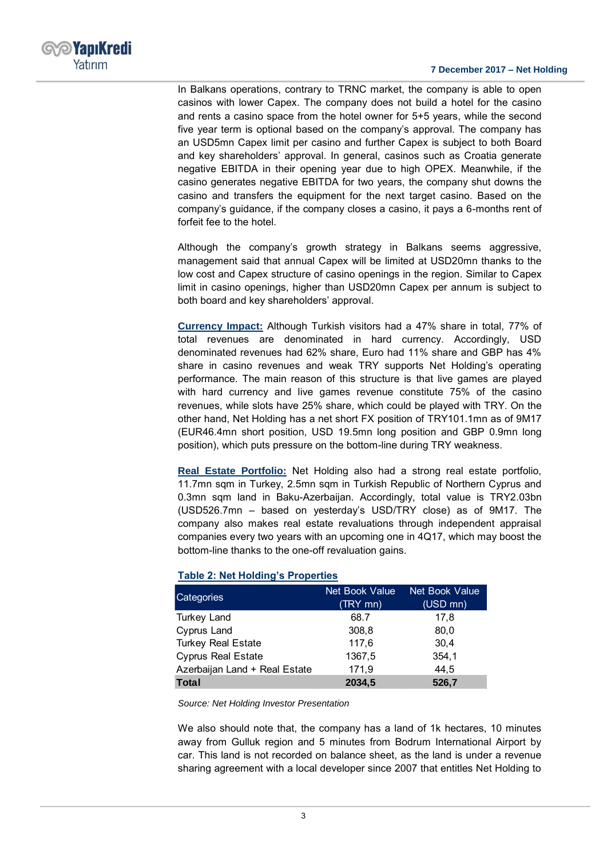

In Balkans operations, contrary to TRNC market, the company is able to open casinos with lower Capex. The company does not build a hotel for the casino and rents a casino space from the hotel owner for 5+5 years, while the second five year term is optional based on the company's approval. The company has an USD5mn Capex limit per casino and further Capex is subject to both Board and key shareholders' approval. In general, casinos such as Croatia generate negative EBITDA in their opening year due to high OPEX. Meanwhile, if the casino generates negative EBITDA for two years, the company shut downs the casino and transfers the equipment for the next target casino. Based on the company's guidance, if the company closes a casino, it pays a 6-months rent of forfeit fee to the hotel.

Although the company's growth strategy in Balkans seems aggressive, management said that annual Capex will be limited at USD20mn thanks to the low cost and Capex structure of casino openings in the region. Similar to Capex limit in casino openings, higher than USD20mn Capex per annum is subject to both board and key shareholders' approval.

**Currency Impact:** Although Turkish visitors had a 47% share in total, 77% of total revenues are denominated in hard currency. Accordingly, USD denominated revenues had 62% share, Euro had 11% share and GBP has 4% share in casino revenues and weak TRY supports Net Holding's operating performance. The main reason of this structure is that live games are played with hard currency and live games revenue constitute 75% of the casino revenues, while slots have 25% share, which could be played with TRY. On the other hand, Net Holding has a net short FX position of TRY101.1mn as of 9M17 (EUR46.4mn short position, USD 19.5mn long position and GBP 0.9mn long position), which puts pressure on the bottom-line during TRY weakness.

**Real Estate Portfolio:** Net Holding also had a strong real estate portfolio, 11.7mn sqm in Turkey, 2.5mn sqm in Turkish Republic of Northern Cyprus and 0.3mn sqm land in Baku-Azerbaijan. Accordingly, total value is TRY2.03bn (USD526.7mn – based on yesterday's USD/TRY close) as of 9M17. The company also makes real estate revaluations through independent appraisal companies every two years with an upcoming one in 4Q17, which may boost the bottom-line thanks to the one-off revaluation gains.

### **Table 2: Net Holding's Properties**

| Categories                    | Net Book Value | Net Book Value |  |
|-------------------------------|----------------|----------------|--|
|                               | (TRY mn)       | (USD mn)       |  |
| <b>Turkey Land</b>            | 68.7           | 17.8           |  |
| Cyprus Land                   | 308,8          | 80,0           |  |
| <b>Turkey Real Estate</b>     | 117,6          | 30.4           |  |
| <b>Cyprus Real Estate</b>     | 1367,5         | 354,1          |  |
| Azerbaijan Land + Real Estate | 171,9          | 44,5           |  |
| Total                         | 2034,5         | 526,7          |  |

#### *Source: Net Holding Investor Presentation*

We also should note that, the company has a land of 1k hectares, 10 minutes away from Gulluk region and 5 minutes from Bodrum International Airport by car. This land is not recorded on balance sheet, as the land is under a revenue sharing agreement with a local developer since 2007 that entitles Net Holding to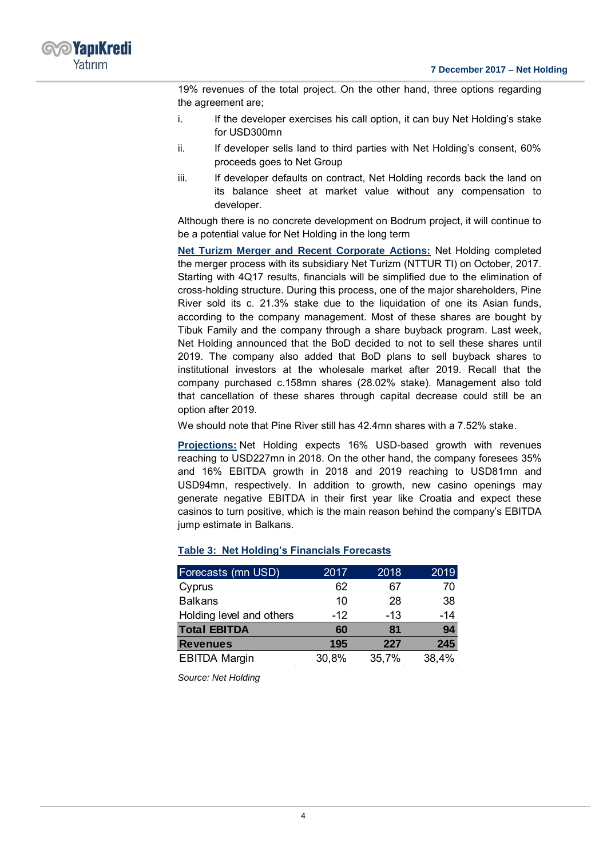

19% revenues of the total project. On the other hand, three options regarding the agreement are;

- i. If the developer exercises his call option, it can buy Net Holding's stake for USD300mn
- ii. If developer sells land to third parties with Net Holding's consent, 60% proceeds goes to Net Group
- iii. If developer defaults on contract, Net Holding records back the land on its balance sheet at market value without any compensation to developer.

Although there is no concrete development on Bodrum project, it will continue to be a potential value for Net Holding in the long term

**Net Turizm Merger and Recent Corporate Actions:** Net Holding completed the merger process with its subsidiary Net Turizm (NTTUR TI) on October, 2017. Starting with 4Q17 results, financials will be simplified due to the elimination of cross-holding structure. During this process, one of the major shareholders, Pine River sold its c. 21.3% stake due to the liquidation of one its Asian funds, according to the company management. Most of these shares are bought by Tibuk Family and the company through a share buyback program. Last week, Net Holding announced that the BoD decided to not to sell these shares until 2019. The company also added that BoD plans to sell buyback shares to institutional investors at the wholesale market after 2019. Recall that the company purchased c.158mn shares (28.02% stake). Management also told that cancellation of these shares through capital decrease could still be an option after 2019.

We should note that Pine River still has 42.4mn shares with a 7.52% stake.

**Projections:** Net Holding expects 16% USD-based growth with revenues reaching to USD227mn in 2018. On the other hand, the company foresees 35% and 16% EBITDA growth in 2018 and 2019 reaching to USD81mn and USD94mn, respectively. In addition to growth, new casino openings may generate negative EBITDA in their first year like Croatia and expect these casinos to turn positive, which is the main reason behind the company's EBITDA jump estimate in Balkans.

| Forecasts (mn USD)       | 2017  | 2018  | 2019  |
|--------------------------|-------|-------|-------|
| Cyprus                   | 62    | 67    | 70    |
| <b>Balkans</b>           | 10    | 28    | 38    |
| Holding level and others | $-12$ | $-13$ | $-14$ |
| <b>Total EBITDA</b>      | 60    | 81    | 94    |
| <b>Revenues</b>          | 195   | 227   | 245   |
| <b>EBITDA Margin</b>     | 30,8% | 35,7% | 38,4% |

### **Table 3: Net Holding's Financials Forecasts**

*Source: Net Holding*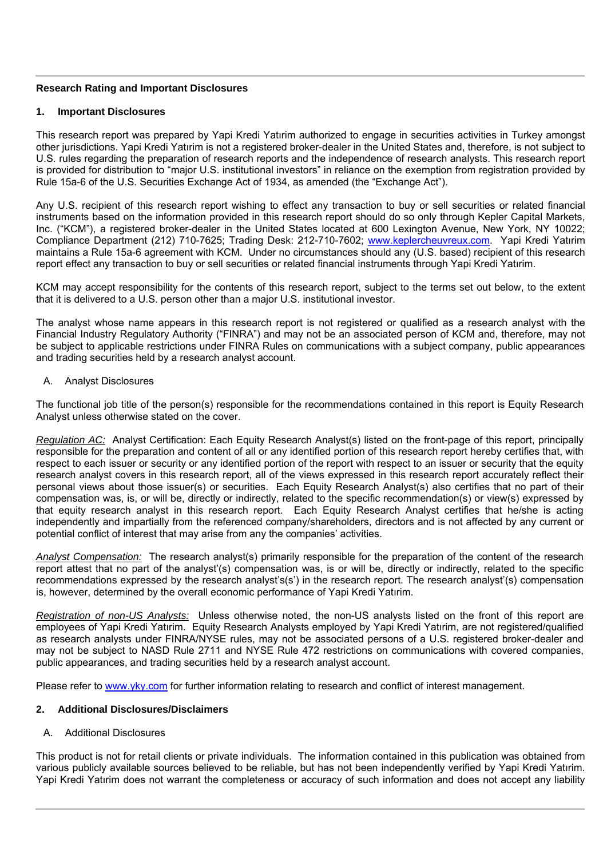### **Research Rating and Important Disclosures**

### **1. Important Disclosures**

This research report was prepared by Yapi Kredi Yatırim authorized to engage in securities activities in Turkey amongst other jurisdictions. Yapi Kredi Yatırim is not a registered broker-dealer in the United States and, therefore, is not subject to U.S. rules regarding the preparation of research reports and the independence of research analysts. This research report is provided for distribution to "major U.S. institutional investors" in reliance on the exemption from registration provided by Rule 15a-6 of the U.S. Securities Exchange Act of 1934, as amended (the "Exchange Act").

Any U.S. recipient of this research report wishing to effect any transaction to buy or sell securities or related financial instruments based on the information provided in this research report should do so only through Kepler Capital Markets, Inc. ("KCM"), a registered broker-dealer in the United States located at 600 Lexington Avenue, New York, NY 10022; Compliance Department (212) 710-7625; Trading Desk: 212-710-7602; www.keplercheuvreux.com. Yapi Kredi Yatırim maintains a Rule 15a-6 agreement with KCM. Under no circumstances should any (U.S. based) recipient of this research report effect any transaction to buy or sell securities or related financial instruments through Yapi Kredi Yatırim.

KCM may accept responsibility for the contents of this research report, subject to the terms set out below, to the extent that it is delivered to a U.S. person other than a major U.S. institutional investor.

The analyst whose name appears in this research report is not registered or qualified as a research analyst with the Financial Industry Regulatory Authority ("FINRA") and may not be an associated person of KCM and, therefore, may not be subject to applicable restrictions under FINRA Rules on communications with a subject company, public appearances and trading securities held by a research analyst account.

### A. Analyst Disclosures

The functional job title of the person(s) responsible for the recommendations contained in this report is Equity Research Analyst unless otherwise stated on the cover.

*Regulation AC:* Analyst Certification: Each Equity Research Analyst(s) listed on the front-page of this report, principally responsible for the preparation and content of all or any identified portion of this research report hereby certifies that, with respect to each issuer or security or any identified portion of the report with respect to an issuer or security that the equity research analyst covers in this research report, all of the views expressed in this research report accurately reflect their personal views about those issuer(s) or securities. Each Equity Research Analyst(s) also certifies that no part of their compensation was, is, or will be, directly or indirectly, related to the specific recommendation(s) or view(s) expressed by that equity research analyst in this research report. Each Equity Research Analyst certifies that he/she is acting independently and impartially from the referenced company/shareholders, directors and is not affected by any current or potential conflict of interest that may arise from any the companies' activities.

*Analyst Compensation:* The research analyst(s) primarily responsible for the preparation of the content of the research report attest that no part of the analyst'(s) compensation was, is or will be, directly or indirectly, related to the specific recommendations expressed by the research analyst's(s') in the research report. The research analyst'(s) compensation is, however, determined by the overall economic performance of Yapi Kredi Yatırim.

*Registration of non-US Analysts:* Unless otherwise noted, the non-US analysts listed on the front of this report are employees of Yapi Kredi Yatırim. Equity Research Analysts employed by Yapi Kredi Yatırim, are not registered/qualified as research analysts under FINRA/NYSE rules, may not be associated persons of a U.S. registered broker-dealer and may not be subject to NASD Rule 2711 and NYSE Rule 472 restrictions on communications with covered companies, public appearances, and trading securities held by a research analyst account.

Please refer to www.yky.com for further information relating to research and conflict of interest management.

#### **2. Additional Disclosures/Disclaimers**

#### A. Additional Disclosures

This product is not for retail clients or private individuals. The information contained in this publication was obtained from various publicly available sources believed to be reliable, but has not been independently verified by Yapi Kredi Yatırim. Yapi Kredi Yatırim does not warrant the completeness or accuracy of such information and does not accept any liability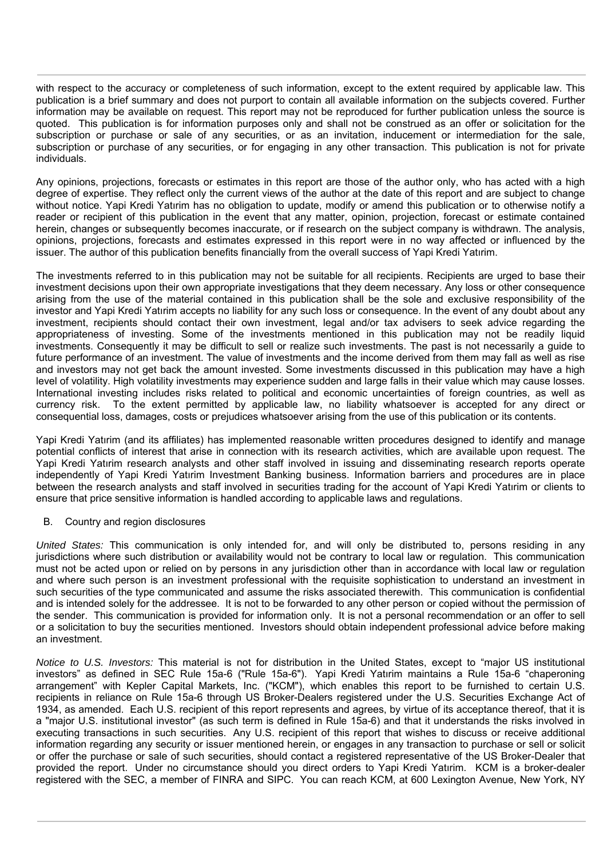with respect to the accuracy or completeness of such information, except to the extent required by applicable law. This publication is a brief summary and does not purport to contain all available information on the subjects covered. Further information may be available on request. This report may not be reproduced for further publication unless the source is quoted. This publication is for information purposes only and shall not be construed as an offer or solicitation for the subscription or purchase or sale of any securities, or as an invitation, inducement or intermediation for the sale, subscription or purchase of any securities, or for engaging in any other transaction. This publication is not for private individuals.

Any opinions, projections, forecasts or estimates in this report are those of the author only, who has acted with a high degree of expertise. They reflect only the current views of the author at the date of this report and are subject to change without notice. Yapi Kredi Yatırim has no obligation to update, modify or amend this publication or to otherwise notify a reader or recipient of this publication in the event that any matter, opinion, projection, forecast or estimate contained herein, changes or subsequently becomes inaccurate, or if research on the subject company is withdrawn. The analysis, opinions, projections, forecasts and estimates expressed in this report were in no way affected or influenced by the issuer. The author of this publication benefits financially from the overall success of Yapi Kredi Yatırim.

The investments referred to in this publication may not be suitable for all recipients. Recipients are urged to base their investment decisions upon their own appropriate investigations that they deem necessary. Any loss or other consequence arising from the use of the material contained in this publication shall be the sole and exclusive responsibility of the investor and Yapi Kredi Yatırim accepts no liability for any such loss or consequence. In the event of any doubt about any investment, recipients should contact their own investment, legal and/or tax advisers to seek advice regarding the appropriateness of investing. Some of the investments mentioned in this publication may not be readily liquid investments. Consequently it may be difficult to sell or realize such investments. The past is not necessarily a guide to future performance of an investment. The value of investments and the income derived from them may fall as well as rise and investors may not get back the amount invested. Some investments discussed in this publication may have a high level of volatility. High volatility investments may experience sudden and large falls in their value which may cause losses. International investing includes risks related to political and economic uncertainties of foreign countries, as well as currency risk. To the extent permitted by applicable law, no liability whatsoever is accepted for any direct or consequential loss, damages, costs or prejudices whatsoever arising from the use of this publication or its contents.

Yapi Kredi Yatırim (and its affiliates) has implemented reasonable written procedures designed to identify and manage potential conflicts of interest that arise in connection with its research activities, which are available upon request. The Yapi Kredi Yatırim research analysts and other staff involved in issuing and disseminating research reports operate independently of Yapi Kredi Yatırim Investment Banking business. Information barriers and procedures are in place between the research analysts and staff involved in securities trading for the account of Yapi Kredi Yatırim or clients to ensure that price sensitive information is handled according to applicable laws and regulations.

#### B. Country and region disclosures

*United States:* This communication is only intended for, and will only be distributed to, persons residing in any jurisdictions where such distribution or availability would not be contrary to local law or regulation. This communication must not be acted upon or relied on by persons in any jurisdiction other than in accordance with local law or regulation and where such person is an investment professional with the requisite sophistication to understand an investment in such securities of the type communicated and assume the risks associated therewith. This communication is confidential and is intended solely for the addressee. It is not to be forwarded to any other person or copied without the permission of the sender. This communication is provided for information only. It is not a personal recommendation or an offer to sell or a solicitation to buy the securities mentioned. Investors should obtain independent professional advice before making an investment.

*Notice to U.S. Investors:* This material is not for distribution in the United States, except to "major US institutional investors" as defined in SEC Rule 15a-6 ("Rule 15a-6"). Yapi Kredi Yatırim maintains a Rule 15a-6 "chaperoning arrangement" with Kepler Capital Markets, Inc. ("KCM"), which enables this report to be furnished to certain U.S. recipients in reliance on Rule 15a-6 through US Broker-Dealers registered under the U.S. Securities Exchange Act of 1934, as amended. Each U.S. recipient of this report represents and agrees, by virtue of its acceptance thereof, that it is a "major U.S. institutional investor" (as such term is defined in Rule 15a-6) and that it understands the risks involved in executing transactions in such securities. Any U.S. recipient of this report that wishes to discuss or receive additional information regarding any security or issuer mentioned herein, or engages in any transaction to purchase or sell or solicit or offer the purchase or sale of such securities, should contact a registered representative of the US Broker-Dealer that provided the report. Under no circumstance should you direct orders to Yapi Kredi Yatırim. KCM is a broker-dealer registered with the SEC, a member of FINRA and SIPC. You can reach KCM, at 600 Lexington Avenue, New York, NY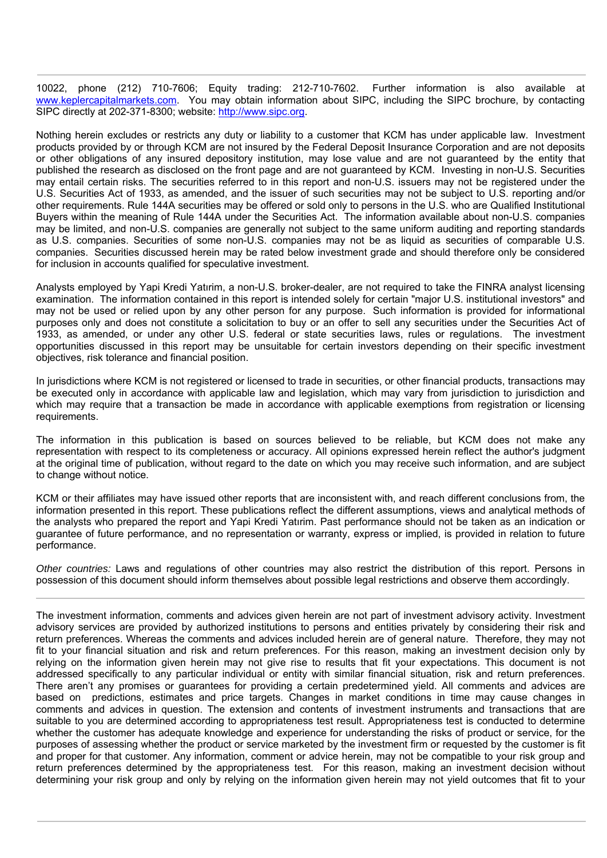10022, phone (212) 710-7606; Equity trading: 212-710-7602. Further information is also available at www.keplercapitalmarkets.com. You may obtain information about SIPC, including the SIPC brochure, by contacting SIPC directly at 202-371-8300; website: http://www.sipc.org.

Nothing herein excludes or restricts any duty or liability to a customer that KCM has under applicable law. Investment products provided by or through KCM are not insured by the Federal Deposit Insurance Corporation and are not deposits or other obligations of any insured depository institution, may lose value and are not guaranteed by the entity that published the research as disclosed on the front page and are not guaranteed by KCM. Investing in non-U.S. Securities may entail certain risks. The securities referred to in this report and non-U.S. issuers may not be registered under the U.S. Securities Act of 1933, as amended, and the issuer of such securities may not be subject to U.S. reporting and/or other requirements. Rule 144A securities may be offered or sold only to persons in the U.S. who are Qualified Institutional Buyers within the meaning of Rule 144A under the Securities Act. The information available about non-U.S. companies may be limited, and non-U.S. companies are generally not subject to the same uniform auditing and reporting standards as U.S. companies. Securities of some non-U.S. companies may not be as liquid as securities of comparable U.S. companies. Securities discussed herein may be rated below investment grade and should therefore only be considered for inclusion in accounts qualified for speculative investment.

Analysts employed by Yapi Kredi Yatırim, a non-U.S. broker-dealer, are not required to take the FINRA analyst licensing examination. The information contained in this report is intended solely for certain "major U.S. institutional investors" and may not be used or relied upon by any other person for any purpose. Such information is provided for informational purposes only and does not constitute a solicitation to buy or an offer to sell any securities under the Securities Act of 1933, as amended, or under any other U.S. federal or state securities laws, rules or regulations. The investment opportunities discussed in this report may be unsuitable for certain investors depending on their specific investment objectives, risk tolerance and financial position.

In jurisdictions where KCM is not registered or licensed to trade in securities, or other financial products, transactions may be executed only in accordance with applicable law and legislation, which may vary from jurisdiction to jurisdiction and which may require that a transaction be made in accordance with applicable exemptions from registration or licensing requirements.

The information in this publication is based on sources believed to be reliable, but KCM does not make any representation with respect to its completeness or accuracy. All opinions expressed herein reflect the author's judgment at the original time of publication, without regard to the date on which you may receive such information, and are subject to change without notice.

KCM or their affiliates may have issued other reports that are inconsistent with, and reach different conclusions from, the information presented in this report. These publications reflect the different assumptions, views and analytical methods of the analysts who prepared the report and Yapi Kredi Yatırim. Past performance should not be taken as an indication or guarantee of future performance, and no representation or warranty, express or implied, is provided in relation to future performance.

*Other countries:* Laws and regulations of other countries may also restrict the distribution of this report. Persons in possession of this document should inform themselves about possible legal restrictions and observe them accordingly.

The investment information, comments and advices given herein are not part of investment advisory activity. Investment advisory services are provided by authorized institutions to persons and entities privately by considering their risk and return preferences. Whereas the comments and advices included herein are of general nature. Therefore, they may not fit to your financial situation and risk and return preferences. For this reason, making an investment decision only by relying on the information given herein may not give rise to results that fit your expectations. This document is not addressed specifically to any particular individual or entity with similar financial situation, risk and return preferences. There aren't any promises or guarantees for providing a certain predetermined yield. All comments and advices are based on predictions, estimates and price targets. Changes in market conditions in time may cause changes in comments and advices in question. The extension and contents of investment instruments and transactions that are suitable to you are determined according to appropriateness test result. Appropriateness test is conducted to determine whether the customer has adequate knowledge and experience for understanding the risks of product or service, for the purposes of assessing whether the product or service marketed by the investment firm or requested by the customer is fit and proper for that customer. Any information, comment or advice herein, may not be compatible to your risk group and return preferences determined by the appropriateness test. For this reason, making an investment decision without determining your risk group and only by relying on the information given herein may not yield outcomes that fit to your